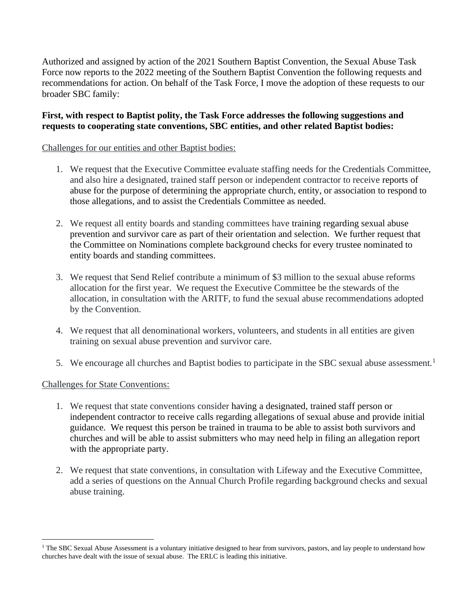Authorized and assigned by action of the 2021 Southern Baptist Convention, the Sexual Abuse Task Force now reports to the 2022 meeting of the Southern Baptist Convention the following requests and recommendations for action. On behalf of the Task Force, I move the adoption of these requests to our broader SBC family:

#### **First, with respect to Baptist polity, the Task Force addresses the following suggestions and requests to cooperating state conventions, SBC entities, and other related Baptist bodies:**

#### Challenges for our entities and other Baptist bodies:

- 1. We request that the Executive Committee evaluate staffing needs for the Credentials Committee, and also hire a designated, trained staff person or independent contractor to receive reports of abuse for the purpose of determining the appropriate church, entity, or association to respond to those allegations, and to assist the Credentials Committee as needed.
- 2. We request all entity boards and standing committees have training regarding sexual abuse prevention and survivor care as part of their orientation and selection. We further request that the Committee on Nominations complete background checks for every trustee nominated to entity boards and standing committees.
- 3. We request that Send Relief contribute a minimum of \$3 million to the sexual abuse reforms allocation for the first year. We request the Executive Committee be the stewards of the allocation, in consultation with the ARITF, to fund the sexual abuse recommendations adopted by the Convention.
- 4. We request that all denominational workers, volunteers, and students in all entities are given training on sexual abuse prevention and survivor care.
- 5. We encourage all churches and Baptist bodies to participate in the SBC sexual abuse assessment.<sup>1</sup>

# Challenges for State Conventions:

- 1. We request that state conventions consider having a designated, trained staff person or independent contractor to receive calls regarding allegations of sexual abuse and provide initial guidance. We request this person be trained in trauma to be able to assist both survivors and churches and will be able to assist submitters who may need help in filing an allegation report with the appropriate party.
- 2. We request that state conventions, in consultation with Lifeway and the Executive Committee, add a series of questions on the Annual Church Profile regarding background checks and sexual abuse training.

<sup>&</sup>lt;sup>1</sup> The SBC Sexual Abuse Assessment is a voluntary initiative designed to hear from survivors, pastors, and lay people to understand how churches have dealt with the issue of sexual abuse. The ERLC is leading this initiative.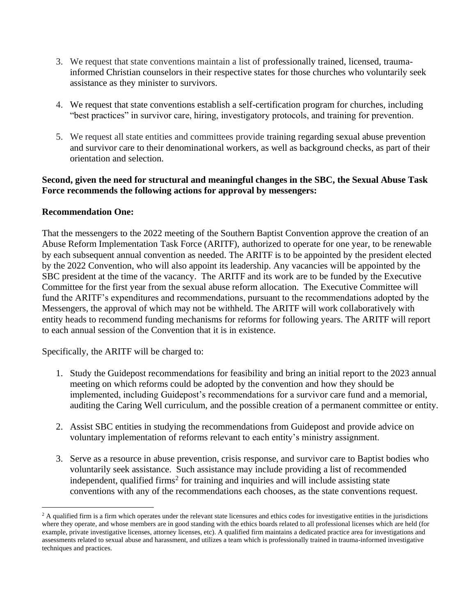- 3. We request that state conventions maintain a list of professionally trained, licensed, traumainformed Christian counselors in their respective states for those churches who voluntarily seek assistance as they minister to survivors.
- 4. We request that state conventions establish a self-certification program for churches, including "best practices" in survivor care, hiring, investigatory protocols, and training for prevention.
- 5. We request all state entities and committees provide training regarding sexual abuse prevention and survivor care to their denominational workers, as well as background checks, as part of their orientation and selection.

# **Second, given the need for structural and meaningful changes in the SBC, the Sexual Abuse Task Force recommends the following actions for approval by messengers:**

# **Recommendation One:**

That the messengers to the 2022 meeting of the Southern Baptist Convention approve the creation of an Abuse Reform Implementation Task Force (ARITF), authorized to operate for one year, to be renewable by each subsequent annual convention as needed. The ARITF is to be appointed by the president elected by the 2022 Convention, who will also appoint its leadership. Any vacancies will be appointed by the SBC president at the time of the vacancy. The ARITF and its work are to be funded by the Executive Committee for the first year from the sexual abuse reform allocation. The Executive Committee will fund the ARITF's expenditures and recommendations, pursuant to the recommendations adopted by the Messengers, the approval of which may not be withheld. The ARITF will work collaboratively with entity heads to recommend funding mechanisms for reforms for following years. The ARITF will report to each annual session of the Convention that it is in existence.

Specifically, the ARITF will be charged to:

- 1. Study the Guidepost recommendations for feasibility and bring an initial report to the 2023 annual meeting on which reforms could be adopted by the convention and how they should be implemented, including Guidepost's recommendations for a survivor care fund and a memorial, auditing the Caring Well curriculum, and the possible creation of a permanent committee or entity.
- 2. Assist SBC entities in studying the recommendations from Guidepost and provide advice on voluntary implementation of reforms relevant to each entity's ministry assignment.
- 3. Serve as a resource in abuse prevention, crisis response, and survivor care to Baptist bodies who voluntarily seek assistance. Such assistance may include providing a list of recommended independent, qualified firms<sup>2</sup> for training and inquiries and will include assisting state conventions with any of the recommendations each chooses, as the state conventions request.

 $2$  A qualified firm is a firm which operates under the relevant state licensures and ethics codes for investigative entities in the jurisdictions where they operate, and whose members are in good standing with the ethics boards related to all professional licenses which are held (for example, private investigative licenses, attorney licenses, etc). A qualified firm maintains a dedicated practice area for investigations and assessments related to sexual abuse and harassment, and utilizes a team which is professionally trained in trauma-informed investigative techniques and practices.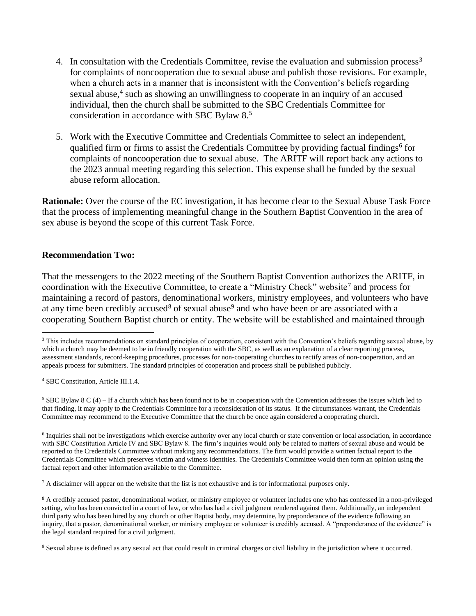- 4. In consultation with the Credentials Committee, revise the evaluation and submission process<sup>3</sup> for complaints of noncooperation due to sexual abuse and publish those revisions. For example, when a church acts in a manner that is inconsistent with the Convention's beliefs regarding sexual abuse,<sup>4</sup> such as showing an unwillingness to cooperate in an inquiry of an accused individual, then the church shall be submitted to the SBC Credentials Committee for consideration in accordance with SBC Bylaw 8.<sup>5</sup>
- 5. Work with the Executive Committee and Credentials Committee to select an independent, qualified firm or firms to assist the Credentials Committee by providing factual findings<sup>6</sup> for complaints of noncooperation due to sexual abuse. The ARITF will report back any actions to the 2023 annual meeting regarding this selection. This expense shall be funded by the sexual abuse reform allocation.

**Rationale:** Over the course of the EC investigation, it has become clear to the Sexual Abuse Task Force that the process of implementing meaningful change in the Southern Baptist Convention in the area of sex abuse is beyond the scope of this current Task Force.

#### **Recommendation Two:**

That the messengers to the 2022 meeting of the Southern Baptist Convention authorizes the ARITF, in coordination with the Executive Committee, to create a "Ministry Check" website<sup>7</sup> and process for maintaining a record of pastors, denominational workers, ministry employees, and volunteers who have at any time been credibly accused<sup>8</sup> of sexual abuse<sup>9</sup> and who have been or are associated with a cooperating Southern Baptist church or entity. The website will be established and maintained through

<sup>4</sup> SBC Constitution, Article III.1.4.

<sup>5</sup> SBC Bylaw 8 C (4) – If a church which has been found not to be in cooperation with the Convention addresses the issues which led to that finding, it may apply to the Credentials Committee for a reconsideration of its status. If the circumstances warrant, the Credentials Committee may recommend to the Executive Committee that the church be once again considered a cooperating church.

<sup>6</sup> Inquiries shall not be investigations which exercise authority over any local church or state convention or local association, in accordance with SBC Constitution Article IV and SBC Bylaw 8. The firm's inquiries would only be related to matters of sexual abuse and would be reported to the Credentials Committee without making any recommendations. The firm would provide a written factual report to the Credentials Committee which preserves victim and witness identities. The Credentials Committee would then form an opinion using the factual report and other information available to the Committee.

 $^7$  A disclaimer will appear on the website that the list is not exhaustive and is for informational purposes only.

<sup>8</sup> A credibly accused pastor, denominational worker, or ministry employee or volunteer includes one who has confessed in a non-privileged setting, who has been convicted in a court of law, or who has had a civil judgment rendered against them. Additionally, an independent third party who has been hired by any church or other Baptist body, may determine, by preponderance of the evidence following an inquiry, that a pastor, denominational worker, or ministry employee or volunteer is credibly accused. A "preponderance of the evidence" is the legal standard required for a civil judgment.

<sup>9</sup> Sexual abuse is defined as any sexual act that could result in criminal charges or civil liability in the jurisdiction where it occurred.

<sup>&</sup>lt;sup>3</sup> This includes recommendations on standard principles of cooperation, consistent with the Convention's beliefs regarding sexual abuse, by which a church may be deemed to be in friendly cooperation with the SBC, as well as an explanation of a clear reporting process, assessment standards, record-keeping procedures, processes for non-cooperating churches to rectify areas of non-cooperation, and an appeals process for submitters. The standard principles of cooperation and process shall be published publicly.